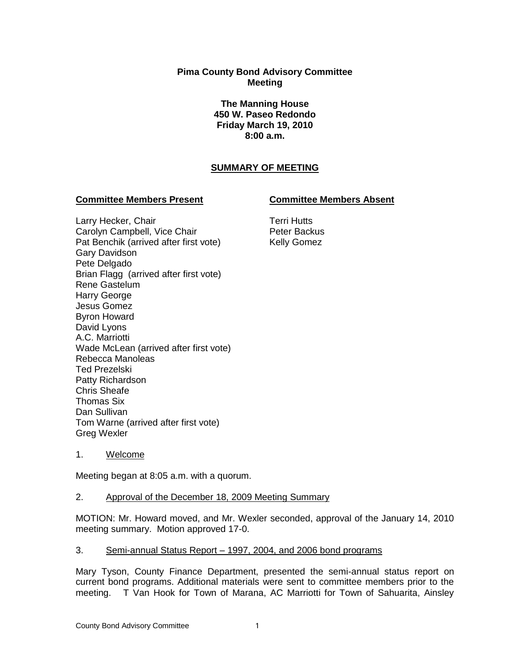## **Pima County Bond Advisory Committee Meeting**

**The Manning House 450 W. Paseo Redondo Friday March 19, 2010 8:00 a.m.**

# **SUMMARY OF MEETING**

#### **Committee Members Present Committee Members Absent**

Larry Hecker, Chair Carolyn Campbell, Vice Chair Pat Benchik (arrived after first vote) Gary Davidson Pete Delgado Brian Flagg (arrived after first vote) Rene Gastelum Harry George Jesus Gomez Byron Howard David Lyons A.C. Marriotti Wade McLean (arrived after first vote) Rebecca Manoleas Ted Prezelski Patty Richardson Chris Sheafe Thomas Six Dan Sullivan Tom Warne (arrived after first vote) Greg Wexler

Terri Hutts Peter Backus Kelly Gomez

1. Welcome

Meeting began at 8:05 a.m. with a quorum.

#### 2. Approval of the December 18, 2009 Meeting Summary

MOTION: Mr. Howard moved, and Mr. Wexler seconded, approval of the January 14, 2010 meeting summary. Motion approved 17-0.

## 3. Semi-annual Status Report – 1997, 2004, and 2006 bond programs

Mary Tyson, County Finance Department, presented the semi-annual status report on current bond programs. Additional materials were sent to committee members prior to the meeting. T Van Hook for Town of Marana, AC Marriotti for Town of Sahuarita, Ainsley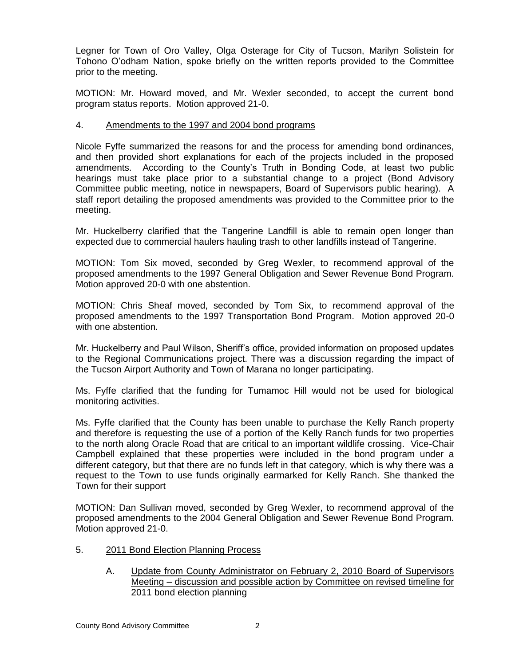Legner for Town of Oro Valley, Olga Osterage for City of Tucson, Marilyn Solistein for Tohono O'odham Nation, spoke briefly on the written reports provided to the Committee prior to the meeting.

MOTION: Mr. Howard moved, and Mr. Wexler seconded, to accept the current bond program status reports. Motion approved 21-0.

#### 4. Amendments to the 1997 and 2004 bond programs

Nicole Fyffe summarized the reasons for and the process for amending bond ordinances, and then provided short explanations for each of the projects included in the proposed amendments. According to the County's Truth in Bonding Code, at least two public hearings must take place prior to a substantial change to a project (Bond Advisory Committee public meeting, notice in newspapers, Board of Supervisors public hearing). A staff report detailing the proposed amendments was provided to the Committee prior to the meeting.

Mr. Huckelberry clarified that the Tangerine Landfill is able to remain open longer than expected due to commercial haulers hauling trash to other landfills instead of Tangerine.

MOTION: Tom Six moved, seconded by Greg Wexler, to recommend approval of the proposed amendments to the 1997 General Obligation and Sewer Revenue Bond Program. Motion approved 20-0 with one abstention.

MOTION: Chris Sheaf moved, seconded by Tom Six, to recommend approval of the proposed amendments to the 1997 Transportation Bond Program. Motion approved 20-0 with one abstention.

Mr. Huckelberry and Paul Wilson, Sheriff's office, provided information on proposed updates to the Regional Communications project. There was a discussion regarding the impact of the Tucson Airport Authority and Town of Marana no longer participating.

Ms. Fyffe clarified that the funding for Tumamoc Hill would not be used for biological monitoring activities.

Ms. Fyffe clarified that the County has been unable to purchase the Kelly Ranch property and therefore is requesting the use of a portion of the Kelly Ranch funds for two properties to the north along Oracle Road that are critical to an important wildlife crossing. Vice-Chair Campbell explained that these properties were included in the bond program under a different category, but that there are no funds left in that category, which is why there was a request to the Town to use funds originally earmarked for Kelly Ranch. She thanked the Town for their support

MOTION: Dan Sullivan moved, seconded by Greg Wexler, to recommend approval of the proposed amendments to the 2004 General Obligation and Sewer Revenue Bond Program. Motion approved 21-0.

- 5. 2011 Bond Election Planning Process
	- A. Update from County Administrator on February 2, 2010 Board of Supervisors Meeting – discussion and possible action by Committee on revised timeline for 2011 bond election planning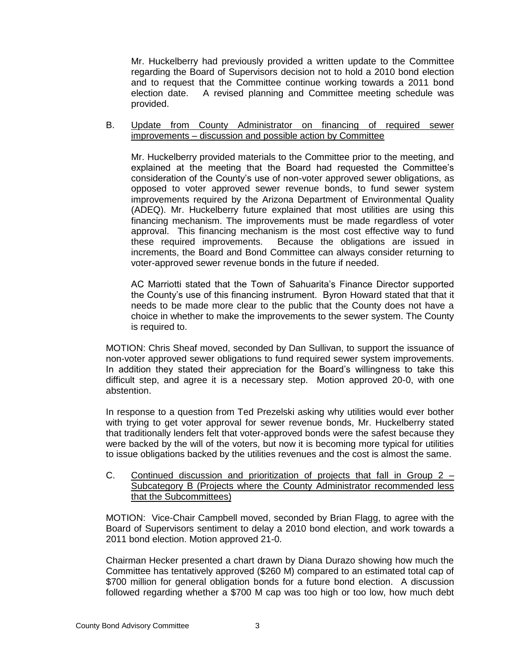Mr. Huckelberry had previously provided a written update to the Committee regarding the Board of Supervisors decision not to hold a 2010 bond election and to request that the Committee continue working towards a 2011 bond election date. A revised planning and Committee meeting schedule was provided.

B. Update from County Administrator on financing of required sewer improvements – discussion and possible action by Committee

Mr. Huckelberry provided materials to the Committee prior to the meeting, and explained at the meeting that the Board had requested the Committee's consideration of the County's use of non-voter approved sewer obligations, as opposed to voter approved sewer revenue bonds, to fund sewer system improvements required by the Arizona Department of Environmental Quality (ADEQ). Mr. Huckelberry future explained that most utilities are using this financing mechanism. The improvements must be made regardless of voter approval. This financing mechanism is the most cost effective way to fund these required improvements. Because the obligations are issued in increments, the Board and Bond Committee can always consider returning to voter-approved sewer revenue bonds in the future if needed.

AC Marriotti stated that the Town of Sahuarita's Finance Director supported the County's use of this financing instrument. Byron Howard stated that that it needs to be made more clear to the public that the County does not have a choice in whether to make the improvements to the sewer system. The County is required to.

MOTION: Chris Sheaf moved, seconded by Dan Sullivan, to support the issuance of non-voter approved sewer obligations to fund required sewer system improvements. In addition they stated their appreciation for the Board's willingness to take this difficult step, and agree it is a necessary step. Motion approved 20-0, with one abstention.

In response to a question from Ted Prezelski asking why utilities would ever bother with trying to get voter approval for sewer revenue bonds, Mr. Huckelberry stated that traditionally lenders felt that voter-approved bonds were the safest because they were backed by the will of the voters, but now it is becoming more typical for utilities to issue obligations backed by the utilities revenues and the cost is almost the same.

C. Continued discussion and prioritization of projects that fall in Group  $2 -$ Subcategory B (Projects where the County Administrator recommended less that the Subcommittees)

MOTION: Vice-Chair Campbell moved, seconded by Brian Flagg, to agree with the Board of Supervisors sentiment to delay a 2010 bond election, and work towards a 2011 bond election. Motion approved 21-0.

Chairman Hecker presented a chart drawn by Diana Durazo showing how much the Committee has tentatively approved (\$260 M) compared to an estimated total cap of \$700 million for general obligation bonds for a future bond election. A discussion followed regarding whether a \$700 M cap was too high or too low, how much debt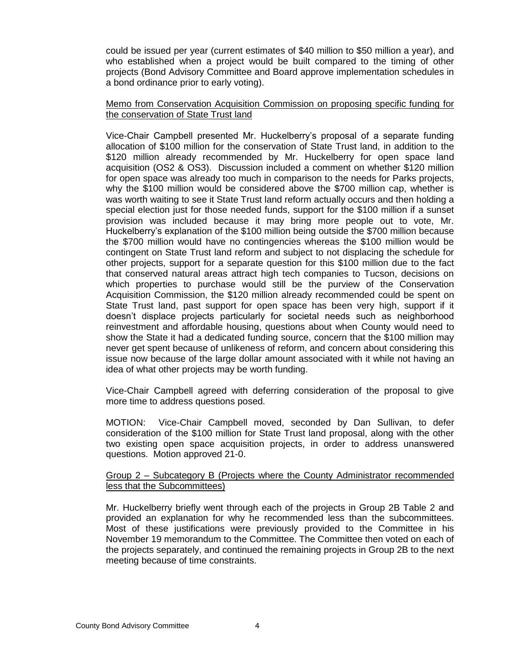could be issued per year (current estimates of \$40 million to \$50 million a year), and who established when a project would be built compared to the timing of other projects (Bond Advisory Committee and Board approve implementation schedules in a bond ordinance prior to early voting).

#### Memo from Conservation Acquisition Commission on proposing specific funding for the conservation of State Trust land

Vice-Chair Campbell presented Mr. Huckelberry's proposal of a separate funding allocation of \$100 million for the conservation of State Trust land, in addition to the \$120 million already recommended by Mr. Huckelberry for open space land acquisition (OS2 & OS3). Discussion included a comment on whether \$120 million for open space was already too much in comparison to the needs for Parks projects, why the \$100 million would be considered above the \$700 million cap, whether is was worth waiting to see it State Trust land reform actually occurs and then holding a special election just for those needed funds, support for the \$100 million if a sunset provision was included because it may bring more people out to vote, Mr. Huckelberry's explanation of the \$100 million being outside the \$700 million because the \$700 million would have no contingencies whereas the \$100 million would be contingent on State Trust land reform and subject to not displacing the schedule for other projects, support for a separate question for this \$100 million due to the fact that conserved natural areas attract high tech companies to Tucson, decisions on which properties to purchase would still be the purview of the Conservation Acquisition Commission, the \$120 million already recommended could be spent on State Trust land, past support for open space has been very high, support if it doesn't displace projects particularly for societal needs such as neighborhood reinvestment and affordable housing, questions about when County would need to show the State it had a dedicated funding source, concern that the \$100 million may never get spent because of unlikeness of reform, and concern about considering this issue now because of the large dollar amount associated with it while not having an idea of what other projects may be worth funding.

Vice-Chair Campbell agreed with deferring consideration of the proposal to give more time to address questions posed.

MOTION: Vice-Chair Campbell moved, seconded by Dan Sullivan, to defer consideration of the \$100 million for State Trust land proposal, along with the other two existing open space acquisition projects, in order to address unanswered questions. Motion approved 21-0.

#### Group 2 – Subcategory B (Projects where the County Administrator recommended less that the Subcommittees)

Mr. Huckelberry briefly went through each of the projects in Group 2B Table 2 and provided an explanation for why he recommended less than the subcommittees. Most of these justifications were previously provided to the Committee in his November 19 memorandum to the Committee. The Committee then voted on each of the projects separately, and continued the remaining projects in Group 2B to the next meeting because of time constraints.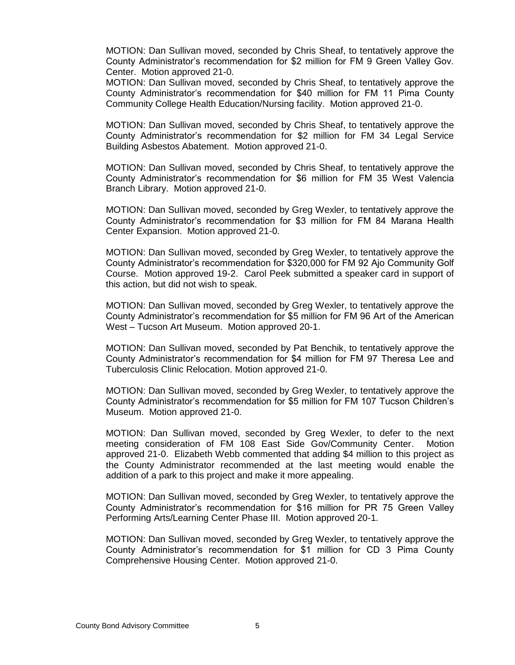MOTION: Dan Sullivan moved, seconded by Chris Sheaf, to tentatively approve the County Administrator's recommendation for \$2 million for FM 9 Green Valley Gov. Center. Motion approved 21-0.

MOTION: Dan Sullivan moved, seconded by Chris Sheaf, to tentatively approve the County Administrator's recommendation for \$40 million for FM 11 Pima County Community College Health Education/Nursing facility. Motion approved 21-0.

MOTION: Dan Sullivan moved, seconded by Chris Sheaf, to tentatively approve the County Administrator's recommendation for \$2 million for FM 34 Legal Service Building Asbestos Abatement. Motion approved 21-0.

MOTION: Dan Sullivan moved, seconded by Chris Sheaf, to tentatively approve the County Administrator's recommendation for \$6 million for FM 35 West Valencia Branch Library. Motion approved 21-0.

MOTION: Dan Sullivan moved, seconded by Greg Wexler, to tentatively approve the County Administrator's recommendation for \$3 million for FM 84 Marana Health Center Expansion. Motion approved 21-0.

MOTION: Dan Sullivan moved, seconded by Greg Wexler, to tentatively approve the County Administrator's recommendation for \$320,000 for FM 92 Ajo Community Golf Course. Motion approved 19-2. Carol Peek submitted a speaker card in support of this action, but did not wish to speak.

MOTION: Dan Sullivan moved, seconded by Greg Wexler, to tentatively approve the County Administrator's recommendation for \$5 million for FM 96 Art of the American West – Tucson Art Museum. Motion approved 20-1.

MOTION: Dan Sullivan moved, seconded by Pat Benchik, to tentatively approve the County Administrator's recommendation for \$4 million for FM 97 Theresa Lee and Tuberculosis Clinic Relocation. Motion approved 21-0.

MOTION: Dan Sullivan moved, seconded by Greg Wexler, to tentatively approve the County Administrator's recommendation for \$5 million for FM 107 Tucson Children's Museum. Motion approved 21-0.

MOTION: Dan Sullivan moved, seconded by Greg Wexler, to defer to the next meeting consideration of FM 108 East Side Gov/Community Center. Motion approved 21-0. Elizabeth Webb commented that adding \$4 million to this project as the County Administrator recommended at the last meeting would enable the addition of a park to this project and make it more appealing.

MOTION: Dan Sullivan moved, seconded by Greg Wexler, to tentatively approve the County Administrator's recommendation for \$16 million for PR 75 Green Valley Performing Arts/Learning Center Phase III. Motion approved 20-1.

MOTION: Dan Sullivan moved, seconded by Greg Wexler, to tentatively approve the County Administrator's recommendation for \$1 million for CD 3 Pima County Comprehensive Housing Center. Motion approved 21-0.